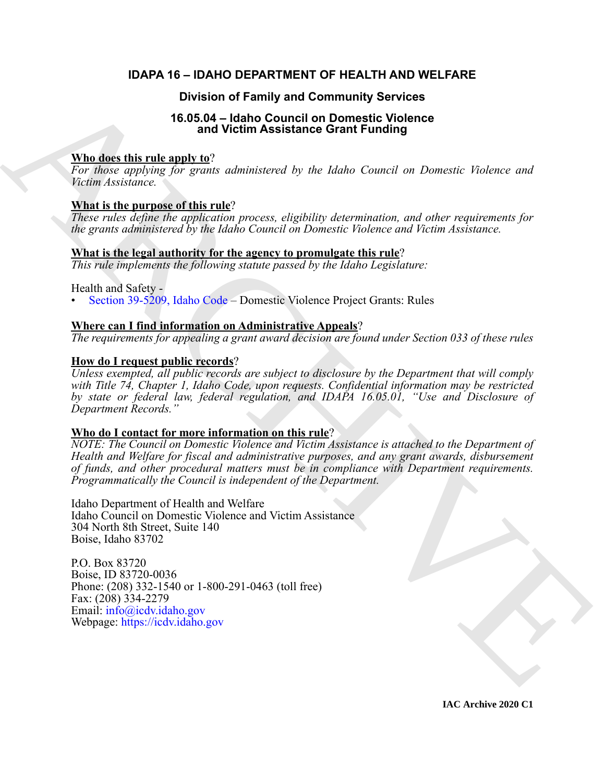#### **IDAPA 16 – IDAHO DEPARTMENT OF HEALTH AND WELFARE**

#### **Division of Family and Community Services**

#### **16.05.04 – Idaho Council on Domestic Violence and Victim Assistance Grant Funding**

#### **Who does this rule apply to**?

*For those applying for grants administered by the Idaho Council on Domestic Violence and Victim Assistance.*

#### **What is the purpose of this rule**?

*These rules define the application process, eligibility determination, and other requirements for the grants administered by the Idaho Council on Domestic Violence and Victim Assistance.*

#### **What is the legal authority for the agency to promulgate this rule**?

*This rule implements the following statute passed by the Idaho Legislature:*

Health and Safety -

• Section 39-5209, Idaho Code – Domestic Violence Project Grants: Rules

#### **Where can I find information on Administrative Appeals**?

*The requirements for appealing a grant award decision are found under Section 033 of these rules*

#### **How do I request public records**?

**Division of Family and Community Series Control in the Series of the Characteristic Control in the Characteristic Control in the Characteristic Control in the control in the series of the Characteristic Control in the se** *Unless exempted, all public records are subject to disclosure by the Department that will comply with Title 74, Chapter 1, Idaho Code, upon requests. Confidential information may be restricted by state or federal law, federal regulation, and IDAPA 16.05.01, "Use and Disclosure of Department Records."*

### **Who do I contact for more information on this rule**?

*NOTE: The Council on Domestic Violence and Victim Assistance is attached to the Department of Health and Welfare for fiscal and administrative purposes, and any grant awards, disbursement of funds, and other procedural matters must be in compliance with Department requirements. Programmatically the Council is independent of the Department.*

Idaho Department of Health and Welfare Idaho Council on Domestic Violence and Victim Assistance 304 North 8th Street, Suite 140 Boise, Idaho 83702

P.O. Box 83720 Boise, ID 83720-0036 Phone: (208) 332-1540 or 1-800-291-0463 (toll free) Fax: (208) 334-2279 Email: info@icdv.idaho.gov Webpage: https://icdv.idaho.gov

**IAC Archive 2020 C1**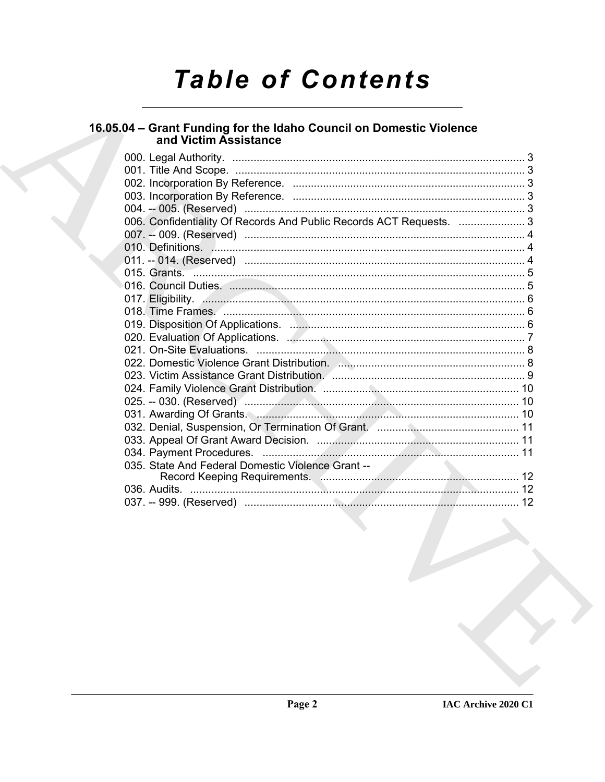# **Table of Contents**

## 16.05.04 – Grant Funding for the Idaho Council on Domestic Violence<br>and Victim Assistance

|  | 006. Confidentiality Of Records And Public Records ACT Requests.  3 |  |
|--|---------------------------------------------------------------------|--|
|  |                                                                     |  |
|  |                                                                     |  |
|  |                                                                     |  |
|  |                                                                     |  |
|  |                                                                     |  |
|  |                                                                     |  |
|  |                                                                     |  |
|  |                                                                     |  |
|  |                                                                     |  |
|  |                                                                     |  |
|  |                                                                     |  |
|  |                                                                     |  |
|  |                                                                     |  |
|  |                                                                     |  |
|  | 031. Awarding Of Grants.                                            |  |
|  |                                                                     |  |
|  |                                                                     |  |
|  |                                                                     |  |
|  |                                                                     |  |
|  |                                                                     |  |
|  |                                                                     |  |
|  |                                                                     |  |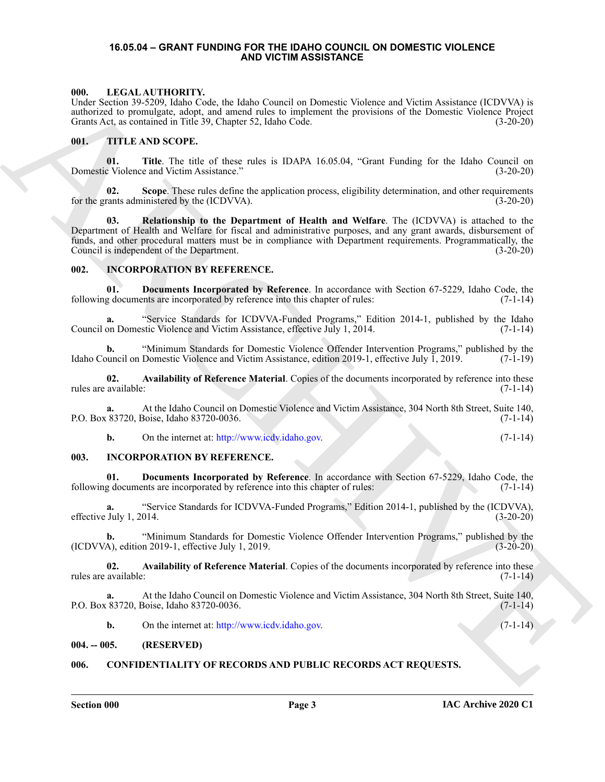#### <span id="page-2-9"></span><span id="page-2-0"></span>**16.05.04 – GRANT FUNDING FOR THE IDAHO COUNCIL ON DOMESTIC VIOLENCE AND VICTIM ASSISTANCE**

#### <span id="page-2-1"></span>**000. LEGAL AUTHORITY.**

Under Section 39-5209, Idaho Code, the Idaho Council on Domestic Violence and Victim Assistance (ICDVVA) is authorized to promulgate, adopt, and amend rules to implement the provisions of the Domestic Violence Project Grants Act, as contained in Title 39, Chapter 52, Idaho Code. (3-20-20)

#### <span id="page-2-10"></span><span id="page-2-2"></span>**001. TITLE AND SCOPE.**

**01. Title**. The title of these rules is IDAPA 16.05.04, "Grant Funding for the Idaho Council on Domestic Violence and Victim Assistance." (3-20-20)

**02.** Scope. These rules define the application process, eligibility determination, and other requirements for the grants administered by the (ICDVVA).  $(3-20-20)$ 

MALL EXCOVERY UNITED SURFACE AN ENDED CONTROL INTERFERING VALUE AND INTERFERING (EXCOVERY). T[H](http://www.icdv.idaho.gov)E CAN ARCHIVE SURFACE AND CONTROL INTERFERING (EXCOVERY).<br>
CHERCHIVE SURFACE AND SCOPE AND CONTROL INTERFERING CONTROL INTERFE **03. Relationship to the Department of Health and Welfare**. The (ICDVVA) is attached to the Department of Health and Welfare for fiscal and administrative purposes, and any grant awards, disbursement of funds, and other procedural matters must be in compliance with Department requirements. Programmatically, the Council is independent of the Department. (3-20-20)

#### <span id="page-2-8"></span><span id="page-2-3"></span>**002. INCORPORATION BY REFERENCE.**

**01. Documents Incorporated by Reference**. In accordance with Section 67-5229, Idaho Code, the following documents are incorporated by reference into this chapter of rules: (7-1-14)

**a.** "Service Standards for ICDVVA-Funded Programs," Edition 2014-1, published by the Idaho Council on Domestic Violence and Victim Assistance, effective July 1, 2014.

**b.** "Minimum Standards for Domestic Violence Offender Intervention Programs," published by the Idaho Council on Domestic Violence and Victim Assistance, edition 2019-1, effective July 1, 2019. (7-1-19)

**02. Availability of Reference Material**. Copies of the documents incorporated by reference into these rules are available: (7-1-14)

**a.** At the Idaho Council on Domestic Violence and Victim Assistance, 304 North 8th Street, Suite 140, P.O. Box 83720, Boise, Idaho 83720-0036. (7-1-14)

**b.** On the internet at: http://www.icdv.idaho.gov. (7-1-14)

#### <span id="page-2-4"></span>**003. INCORPORATION BY REFERENCE.**

**01. Documents Incorporated by Reference**. In accordance with Section 67-5229, Idaho Code, the following documents are incorporated by reference into this chapter of rules: (7-1-14)

**a.** "Service Standards for ICDVVA-Funded Programs," Edition 2014-1, published by the (ICDVVA), July 1, 2014. (3-20-20) effective July 1, 2014.

**b.** "Minimum Standards for Domestic Violence Offender Intervention Programs," published by the  $(1CDVVA)$ , edition 2019-1, effective July 1, 2019. (3-20-20)

**02. Availability of Reference Material**. Copies of the documents incorporated by reference into these rules are available: (7-1-14)

**a.** At the Idaho Council on Domestic Violence and Victim Assistance, 304 North 8th Street, Suite 140, P.O. Box 83720, Boise, Idaho 83720-0036.

<span id="page-2-7"></span>**b.** On the internet at: http://www.icdv.idaho.gov. (7-1-14)

#### <span id="page-2-5"></span>**004. -- 005. (RESERVED)**

#### <span id="page-2-6"></span>**006. CONFIDENTIALITY OF RECORDS AND PUBLIC RECORDS ACT REQUESTS.**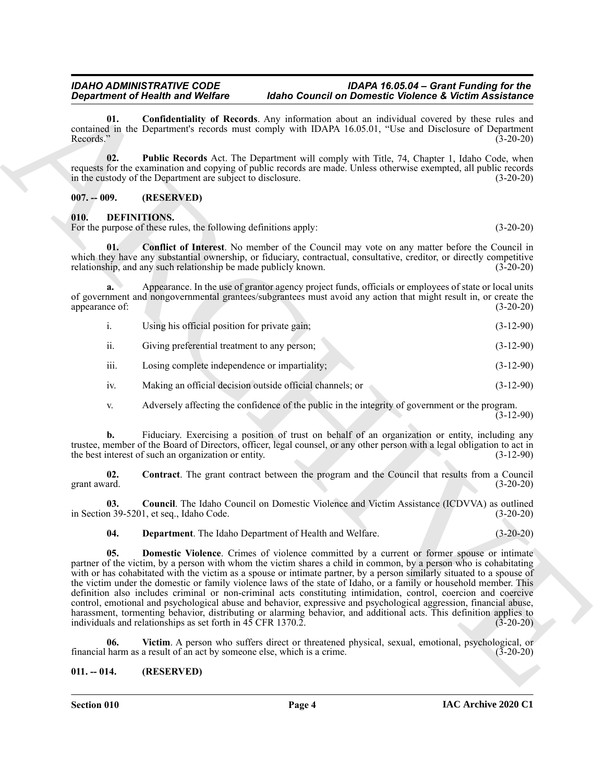**01. Confidentiality of Records**. Any information about an individual covered by these rules and contained in the Department's records must comply with IDAPA 16.05.01, "Use and Disclosure of Department Records." (3-20-20)

**02. Public Records** Act. The Department will comply with Title, 74, Chapter 1, Idaho Code, when requests for the examination and copying of public records are made. Unless otherwise exempted, all public records in the custody of the Department are subject to disclosure. (3-20-20) in the custody of the Department are subject to disclosure.

#### <span id="page-3-0"></span>**007. -- 009. (RESERVED)**

#### <span id="page-3-3"></span><span id="page-3-1"></span>**010. DEFINITIONS.**

For the purpose of these rules, the following definitions apply: (3-20-20) (3-20-20)

<span id="page-3-4"></span>**01. Conflict of Interest**. No member of the Council may vote on any matter before the Council in which they have any substantial ownership, or fiduciary, contractual, consultative, creditor, or directly competitive relationship, and any such relationship be made publicly known. (3-20-20)

**a.** Appearance. In the use of grantor agency project funds, officials or employees of state or local units of government and nongovernmental grantees/subgrantees must avoid any action that might result in, or create the appearance of: (3-20-20)

- i. Using his official position for private gain; (3-12-90)
- ii. Giving preferential treatment to any person; (3-12-90)
- iii. Losing complete independence or impartiality; (3-12-90)
- iv. Making an official decision outside official channels; or (3-12-90)
- <span id="page-3-5"></span>v. Adversely affecting the confidence of the public in the integrity of government or the program.  $(3-12-90)$

**b.** Fiduciary. Exercising a position of trust on behalf of an organization or entity, including any trustee, member of the Board of Directors, officer, legal counsel, or any other person with a legal obligation to act in the best interest of such an organization or entity. (3-12-90)

**02. Contract**. The grant contract between the program and the Council that results from a Council grant award. (3-20-20)

**03. Council**. The Idaho Council on Domestic Violence and Victim Assistance (ICDVVA) as outlined in Section 39-5201, et seq., Idaho Code. (3-20-20)

<span id="page-3-8"></span><span id="page-3-7"></span><span id="page-3-6"></span>**04. Department**. The Idaho Department of Health and Welfare. (3-20-20)

**Department of Results We have consistent and the material effective consistent with the consistent of the stationary constraints of the stationary of the stationary constraints of the stationary of the stationary constra 05. Domestic Violence**. Crimes of violence committed by a current or former spouse or intimate partner of the victim, by a person with whom the victim shares a child in common, by a person who is cohabitating with or has cohabitated with the victim as a spouse or intimate partner, by a person similarly situated to a spouse of the victim under the domestic or family violence laws of the state of Idaho, or a family or household member. This definition also includes criminal or non-criminal acts constituting intimidation, control, coercion and coercive control, emotional and psychological abuse and behavior, expressive and psychological aggression, financial abuse, harassment, tormenting behavior, distributing or alarming behavior, and additional acts. This definition applies to individuals and relationships as set forth in 45 CFR 1370.2. (3-20-20)

<span id="page-3-9"></span>**06. Victim**. A person who suffers direct or threatened physical, sexual, emotional, psychological, or financial harm as a result of an act by someone else, which is a crime. (3-20-20)

#### <span id="page-3-2"></span>**011. -- 014. (RESERVED)**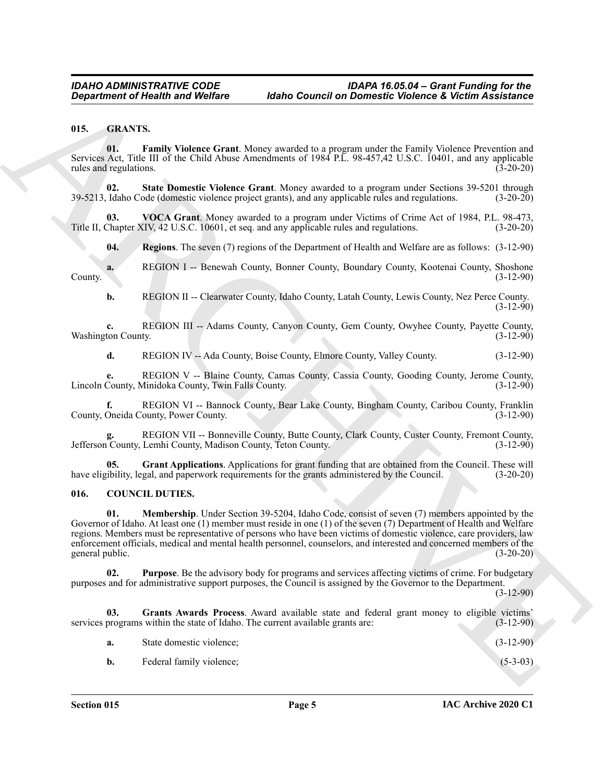#### <span id="page-4-6"></span><span id="page-4-0"></span>**015. GRANTS.**

<span id="page-4-7"></span>**01. Family Violence Grant**. Money awarded to a program under the Family Violence Prevention and Services Act, Title III of the Child Abuse Amendments of 1984 P.L. 98-457,42 U.S.C. 10401, and any applicable rules and regulations. (3-20-20)

<span id="page-4-10"></span>**02. State Domestic Violence Grant**. Money awarded to a program under Sections 39-5201 through 39-5213, Idaho Code (domestic violence project grants), and any applicable rules and regulations. (3-20-20)

**03. VOCA Grant**. Money awarded to a program under Victims of Crime Act of 1984, P.L. 98-473, Title II, Chapter XIV, 42 U.S.C. 10601, et seq. and any applicable rules and regulations. (3-20-20)

<span id="page-4-11"></span><span id="page-4-9"></span>**04. Regions**. The seven (7) regions of the Department of Health and Welfare are as follows: (3-12-90)

**a.** REGION I -- Benewah County, Bonner County, Boundary County, Kootenai County, Shoshone (3-12-90) County. (3-12-90)

**b.** REGION II -- Clearwater County, Idaho County, Latah County, Lewis County, Nez Perce County.  $(3-12-90)$ 

**c.** REGION III -- Adams County, Canyon County, Gem County, Owyhee County, Payette County, ton County. (3-12-90) Washington County.

**d.** REGION IV -- Ada County, Boise County, Elmore County, Valley County. (3-12-90)

**e.** REGION V -- Blaine County, Camas County, Cassia County, Gooding County, Jerome County, County, Minidoka County, Twin Falls County. Lincoln County, Minidoka County, Twin Falls County.

**f.** REGION VI -- Bannock County, Bear Lake County, Bingham County, Caribou County, Franklin Oneida County, Power County. County, Oneida County, Power County.

**g.** REGION VII -- Bonneville County, Butte County, Clark County, Custer County, Fremont County, Jefferson County, Lemhi County, Madison County, Teton County. (3-12-90)

<span id="page-4-8"></span>**05.** Grant Applications. Applications for grant funding that are obtained from the Council. These will ibility, legal, and paperwork requirements for the grants administered by the Council. (3-20-20) have eligibility, legal, and paperwork requirements for the grants administered by the Council.

#### <span id="page-4-4"></span><span id="page-4-2"></span><span id="page-4-1"></span>**016. COUNCIL DUTIES.**

**Exparament of Health wast Welfare Internet Democratic Violence & Victim Assistance<br>
14. Earth Violence Crant Money was also a program under the Burel, Welcher Revealing and<br>
14. Earth Violence Crant Money was also a prog 01. Membership**. Under Section 39-5204, Idaho Code, consist of seven (7) members appointed by the Governor of Idaho. At least one (1) member must reside in one (1) of the seven (7) Department of Health and Welfare regions. Members must be representative of persons who have been victims of domestic violence, care providers, law enforcement officials, medical and mental health personnel, counselors, and interested and concerned members of the general public. (3-20-20)

<span id="page-4-5"></span>**02. Purpose**. Be the advisory body for programs and services affecting victims of crime. For budgetary purposes and for administrative support purposes, the Council is assigned by the Governor to the Department.

(3-12-90)

**03. Grants Awards Process**. Award available state and federal grant money to eligible victims' services programs within the state of Idaho. The current available grants are: (3-12-90)

<span id="page-4-3"></span>

| а. | State domestic violence: | $(3-12-90)$ |            |
|----|--------------------------|-------------|------------|
|    | Federal family violence: |             | $(5-3-03)$ |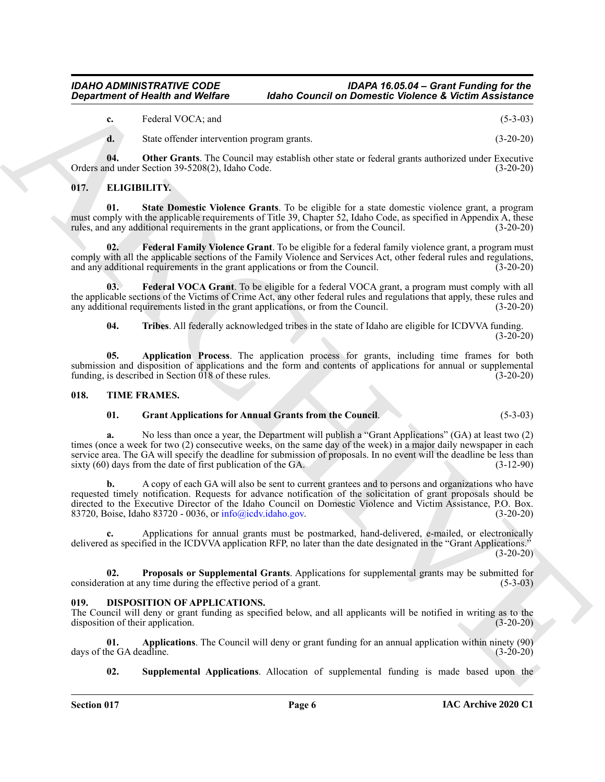**c.** Federal VOCA; and (5-3-03)

<span id="page-5-11"></span><span id="page-5-3"></span>**d.** State offender intervention program grants. (3-20-20)

**04. Other Grants**. The Council may establish other state or federal grants authorized under Executive Orders and under Section 39-5208(2), Idaho Code. (3-20-20)

#### <span id="page-5-7"></span><span id="page-5-0"></span>**017. ELIGIBILITY.**

**01. State Domestic Violence Grants**. To be eligible for a state domestic violence grant, a program must comply with the applicable requirements of Title 39, Chapter 52, Idaho Code, as specified in Appendix A, these rules, and any additional requirements in the grant applications, or from the Council. (3-20-20)

<span id="page-5-9"></span>**02. Federal Family Violence Grant**. To be eligible for a federal family violence grant, a program must comply with all the applicable sections of the Family Violence and Services Act, other federal rules and regulations, and any additional requirements in the grant applications or from the Council. (3-20-20) and any additional requirements in the grant applications or from the Council.

**03. Federal VOCA Grant**. To be eligible for a federal VOCA grant, a program must comply with all the applicable sections of the Victims of Crime Act, any other federal rules and regulations that apply, these rules and any additional requirements listed in the grant applications, or from the Council.  $(3-20-20)$ 

<span id="page-5-12"></span><span id="page-5-10"></span><span id="page-5-8"></span>**04. Tribes**. All federally acknowledged tribes in the state of Idaho are eligible for ICDVVA funding.  $(3-20-20)$ 

**05. Application Process**. The application process for grants, including time frames for both submission and disposition of applications and the form and contents of applications for annual or supplemental funding, is described in Section 018 of these rules. (3-20-20)

#### <span id="page-5-1"></span>**018. TIME FRAMES.**

<span id="page-5-14"></span><span id="page-5-13"></span>**01. Grant Applications for Annual Grants from the Council**. (5-3-03)

**Exparament of Newiral Violings**<br>
Consider the Control of Diversion Council of Diversion Consider Consider the Constitution of the Constitution of the Constitution of the Constitution of the Constitution of the Constituti **a.** No less than once a year, the Department will publish a "Grant Applications" (GA) at least two (2) times (once a week for two (2) consecutive weeks, on the same day of the week) in a major daily newspaper in each service area. The GA will specify the deadline for submission of proposals. In no event will the deadline be less than sixty (60) days from the date of first publication of the GA. (3-12-90)

**b.** A copy of each GA will also be sent to current grantees and to persons and organizations who have requested timely notification. Requests for advance notification of the solicitation of grant proposals should be directed to the Executive Director of the Idaho Council on Domestic Violence and Victim Assistance, P.O. Box. 83720, Boise, Idaho 83720 - 0036, or info@icdv.idaho.gov. (3-20-20)

**c.** Applications for annual grants must be postmarked, hand-delivered, e-mailed, or electronically delivered as specified in the ICDVVA application RFP, no later than the date designated in the "Grant Applications."  $(3-20-20)$ 

<span id="page-5-15"></span>**02. Proposals or Supplemental Grants**. Applications for supplemental grants may be submitted for consideration at any time during the effective period of a grant. (5-3-03)

#### <span id="page-5-4"></span><span id="page-5-2"></span>**019. DISPOSITION OF APPLICATIONS.**

The Council will deny or grant funding as specified below, and all applicants will be notified in writing as to the disposition of their application. (3-20-20)

**01. Applications**. The Council will deny or grant funding for an annual application within ninety (90) days of the GA deadline.

<span id="page-5-6"></span><span id="page-5-5"></span>**02. Supplemental Applications**. Allocation of supplemental funding is made based upon the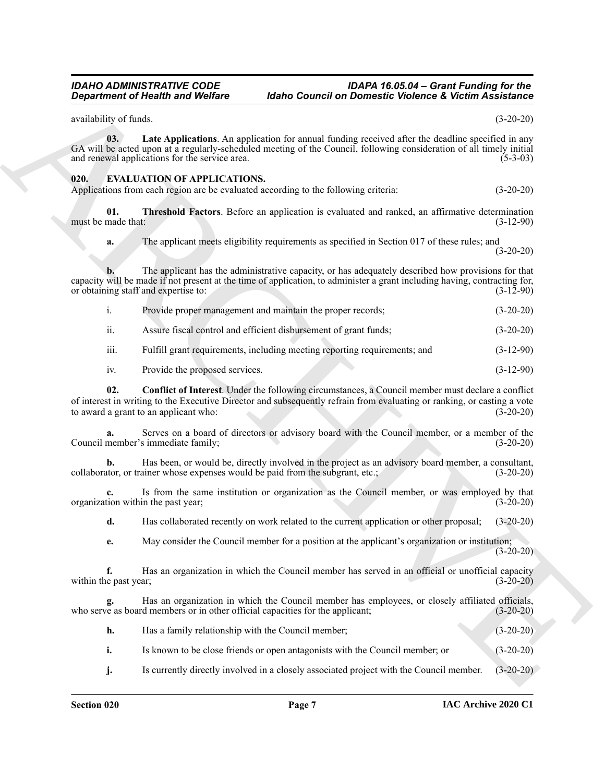<span id="page-6-4"></span><span id="page-6-3"></span><span id="page-6-2"></span><span id="page-6-1"></span><span id="page-6-0"></span>**Expariment of Nealth was Wolfins 4.** Mathon Counted for Distinctive Constant Columbus to the set of the set of the set of the set of the set of the set of the set of the set of the set of the set of the set of the set of availability of funds. (3-20-20) **03. Late Applications**. An application for annual funding received after the deadline specified in any GA will be acted upon at a regularly-scheduled meeting of the Council, following consideration of all timely initial and renewal applications for the service area. (5-3-03) **020. EVALUATION OF APPLICATIONS.** Applications from each region are be evaluated according to the following criteria: (3-20-20) **01. Threshold Factors**. Before an application is evaluated and ranked, an affirmative determination must be made that: (3-12-90) **a.** The applicant meets eligibility requirements as specified in Section 017 of these rules; and (3-20-20) **b.** The applicant has the administrative capacity, or has adequately described how provisions for that capacity will be made if not present at the time of application, to administer a grant including having, contracting for, or obtaining staff and expertise to: (3-12-90) or obtaining staff and expertise to: i. Provide proper management and maintain the proper records; (3-20-20) ii. Assure fiscal control and efficient disbursement of grant funds; (3-20-20) iii. Fulfill grant requirements, including meeting reporting requirements; and (3-12-90) iv. Provide the proposed services. (3-12-90) **02. Conflict of Interest**. Under the following circumstances, a Council member must declare a conflict of interest in writing to the Executive Director and subsequently refrain from evaluating or ranking, or casting a vote to award a grant to an applicant who: (3-20-20) **a.** Serves on a board of directors or advisory board with the Council member, or a member of the Council member's immediate family; (3-20-20) **b.** Has been, or would be, directly involved in the project as an advisory board member, a consultant, ator, or trainer whose expenses would be paid from the subgrant, etc.; (3-20-20) collaborator, or trainer whose expenses would be paid from the subgrant, etc.; **c.** Is from the same institution or organization as the Council member, or was employed by that tion within the past year; (3-20-20) organization within the past year; **d.** Has collaborated recently on work related to the current application or other proposal; (3-20-20) **e.** May consider the Council member for a position at the applicant's organization or institution; (3-20-20) **f.** Has an organization in which the Council member has served in an official or unofficial capacity (3-20-20) (3-20-20) within the past year; **g.** Has an organization in which the Council member has employees, or closely affiliated officials, re as board members or in other official capacities for the applicant; (3-20-20) who serve as board members or in other official capacities for the applicant; **h.** Has a family relationship with the Council member; (3-20-20) **i.** Is known to be close friends or open antagonists with the Council member; or (3-20-20) **j.** Is currently directly involved in a closely associated project with the Council member. (3-20-20)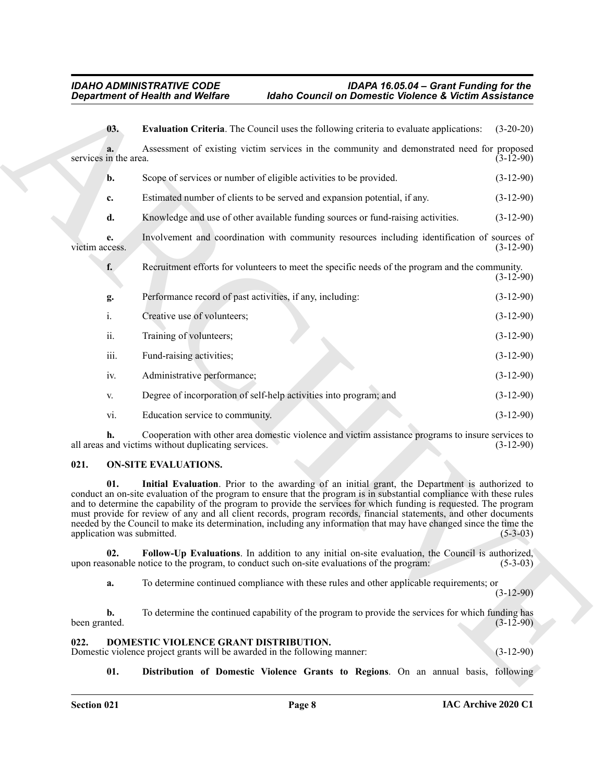<span id="page-7-4"></span>

|                                                           | <b>Department of Health and Welfare</b>                                                                            | <b>Idaho Council on Domestic Violence &amp; Victim Assistance</b>                                                                                                                                                                                                                                                                                                                                                                                                                                                                                                                         |             |
|-----------------------------------------------------------|--------------------------------------------------------------------------------------------------------------------|-------------------------------------------------------------------------------------------------------------------------------------------------------------------------------------------------------------------------------------------------------------------------------------------------------------------------------------------------------------------------------------------------------------------------------------------------------------------------------------------------------------------------------------------------------------------------------------------|-------------|
|                                                           | 03.                                                                                                                | Evaluation Criteria. The Council uses the following criteria to evaluate applications:                                                                                                                                                                                                                                                                                                                                                                                                                                                                                                    | $(3-20-20)$ |
| a.<br>services in the area.                               |                                                                                                                    | Assessment of existing victim services in the community and demonstrated need for proposed                                                                                                                                                                                                                                                                                                                                                                                                                                                                                                | $(3-12-90)$ |
| b.                                                        |                                                                                                                    | Scope of services or number of eligible activities to be provided.                                                                                                                                                                                                                                                                                                                                                                                                                                                                                                                        | $(3-12-90)$ |
| c.                                                        |                                                                                                                    | Estimated number of clients to be served and expansion potential, if any.                                                                                                                                                                                                                                                                                                                                                                                                                                                                                                                 | $(3-12-90)$ |
| d.                                                        |                                                                                                                    | Knowledge and use of other available funding sources or fund-raising activities.                                                                                                                                                                                                                                                                                                                                                                                                                                                                                                          | $(3-12-90)$ |
| e.<br>victim access.                                      |                                                                                                                    | Involvement and coordination with community resources including identification of sources of                                                                                                                                                                                                                                                                                                                                                                                                                                                                                              | $(3-12-90)$ |
| f.                                                        |                                                                                                                    | Recruitment efforts for volunteers to meet the specific needs of the program and the community.                                                                                                                                                                                                                                                                                                                                                                                                                                                                                           | $(3-12-90)$ |
| g.                                                        | Performance record of past activities, if any, including:                                                          |                                                                                                                                                                                                                                                                                                                                                                                                                                                                                                                                                                                           | $(3-12-90)$ |
| i.                                                        | Creative use of volunteers;                                                                                        |                                                                                                                                                                                                                                                                                                                                                                                                                                                                                                                                                                                           | $(3-12-90)$ |
| ii.                                                       | Training of volunteers;                                                                                            |                                                                                                                                                                                                                                                                                                                                                                                                                                                                                                                                                                                           | $(3-12-90)$ |
| iii.                                                      | Fund-raising activities;                                                                                           |                                                                                                                                                                                                                                                                                                                                                                                                                                                                                                                                                                                           | $(3-12-90)$ |
| iv.                                                       | Administrative performance;                                                                                        |                                                                                                                                                                                                                                                                                                                                                                                                                                                                                                                                                                                           | $(3-12-90)$ |
| V.                                                        |                                                                                                                    | Degree of incorporation of self-help activities into program; and                                                                                                                                                                                                                                                                                                                                                                                                                                                                                                                         | $(3-12-90)$ |
| vi.                                                       | Education service to community.                                                                                    |                                                                                                                                                                                                                                                                                                                                                                                                                                                                                                                                                                                           | $(3-12-90)$ |
| h.<br>all areas and victims without duplicating services. | Cooperation with other area domestic violence and victim assistance programs to insure services to                 | $(3-12-90)$                                                                                                                                                                                                                                                                                                                                                                                                                                                                                                                                                                               |             |
| 021.                                                      | <b>ON-SITE EVALUATIONS.</b>                                                                                        |                                                                                                                                                                                                                                                                                                                                                                                                                                                                                                                                                                                           |             |
| 01.                                                       | application was submitted.                                                                                         | Initial Evaluation. Prior to the awarding of an initial grant, the Department is authorized to<br>conduct an on-site evaluation of the program to ensure that the program is in substantial compliance with these rules<br>and to determine the capability of the program to provide the services for which funding is requested. The program<br>must provide for review of any and all client records, program records, financial statements, and other documents<br>needed by the Council to make its determination, including any information that may have changed since the time the | $(5-3-03)$  |
| 02.                                                       |                                                                                                                    | Follow-Up Evaluations. In addition to any initial on-site evaluation, the Council is authorized,<br>upon reasonable notice to the program, to conduct such on-site evaluations of the program:                                                                                                                                                                                                                                                                                                                                                                                            | $(5-3-03)$  |
| a.                                                        |                                                                                                                    | To determine continued compliance with these rules and other applicable requirements; or                                                                                                                                                                                                                                                                                                                                                                                                                                                                                                  | $(3-12-90)$ |
| b.<br>been granted.                                       |                                                                                                                    | To determine the continued capability of the program to provide the services for which funding has                                                                                                                                                                                                                                                                                                                                                                                                                                                                                        | $(3-12-90)$ |
| 022.                                                      | DOMESTIC VIOLENCE GRANT DISTRIBUTION.<br>Domestic violence project grants will be awarded in the following manner: |                                                                                                                                                                                                                                                                                                                                                                                                                                                                                                                                                                                           | $(3-12-90)$ |
|                                                           | 01.<br>Distribution of Domestic Violence Grants to Regions. On an annual basis, following                          |                                                                                                                                                                                                                                                                                                                                                                                                                                                                                                                                                                                           |             |

#### <span id="page-7-7"></span><span id="page-7-6"></span><span id="page-7-5"></span><span id="page-7-0"></span>**021. ON-SITE EVALUATIONS.**

#### <span id="page-7-3"></span><span id="page-7-2"></span><span id="page-7-1"></span>**022. DOMESTIC VIOLENCE GRANT DISTRIBUTION.**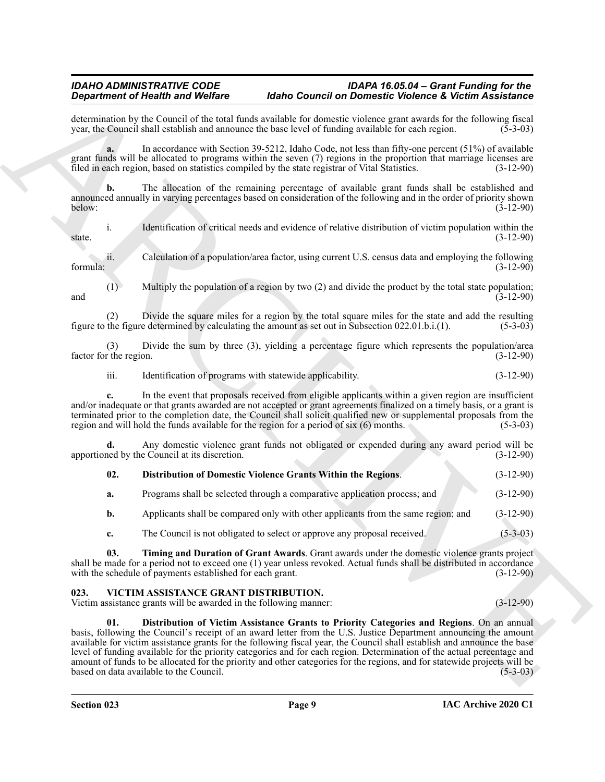determination by the Council of the total funds available for domestic violence grant awards for the following fiscal vear, the Council shall establish and announce the base level of funding available for each region. (5-3 year, the Council shall establish and announce the base level of funding available for each region.

**a.** In accordance with Section 39-5212, Idaho Code, not less than fifty-one percent (51%) of available grant funds will be allocated to programs within the seven (7) regions in the proportion that marriage licenses are filed in each region, based on statistics compiled by the state registrar of Vital Statistics. (3-12-90)

**b.** The allocation of the remaining percentage of available grant funds shall be established and announced annually in varying percentages based on consideration of the following and in the order of priority shown below: (3-12-90)

i. Identification of critical needs and evidence of relative distribution of victim population within the  $\frac{1}{3}$  state.  $(3-12-90)$ 

ii. Calculation of a population/area factor, using current U.S. census data and employing the following formula: (3-12-90)

(1) Multiply the population of a region by two (2) and divide the product by the total state population; and  $(3-12-90)$ 

(2) Divide the square miles for a region by the total square miles for the state and add the resulting the figure determined by calculating the amount as set out in Subsection 022.01.b.i.(1).  $(5-3-03)$ figure to the figure determined by calculating the amount as set out in Subsection 022.01.b.i.(1).

(3) Divide the sum by three (3), yielding a percentage figure which represents the population/area factor for the region. (3-12-90)

iii. Identification of programs with statewide applicability. (3-12-90)

**c.** In the event that proposals received from eligible applicants within a given region are insufficient and/or inadequate or that grants awarded are not accepted or grant agreements finalized on a timely basis, or a grant is terminated prior to the completion date, the Council shall solicit qualified new or supplemental proposals from the region and will hold the funds available for the region for a period of six (6) months. (5-3-03)

**d.** Any domestic violence grant funds not obligated or expended during any award period will be ned by the Council at its discretion. (3-12-90) apportioned by the Council at its discretion.

<span id="page-8-1"></span>

| 02. | Distribution of Domestic Violence Grants Within the Regions. | $(3-12-90)$ |
|-----|--------------------------------------------------------------|-------------|
|     |                                                              |             |

| Programs shall be selected through a comparative application process; and<br>a. | $(3-12-90)$ |
|---------------------------------------------------------------------------------|-------------|
|---------------------------------------------------------------------------------|-------------|

**b.** Applicants shall be compared only with other applicants from the same region; and  $(3-12-90)$ 

<span id="page-8-2"></span>**c.** The Council is not obligated to select or approve any proposal received. (5-3-03)

**03. Timing and Duration of Grant Awards**. Grant awards under the domestic violence grants project shall be made for a period not to exceed one (1) year unless revoked. Actual funds shall be distributed in accordance with the schedule of payments established for each grant. (3-12-90)

#### <span id="page-8-3"></span><span id="page-8-0"></span>**023. VICTIM ASSISTANCE GRANT DISTRIBUTION.**

<span id="page-8-4"></span>Victim assistance grants will be awarded in the following manner: (3-12-90)

**Original dentis and Worlds Construction Labor Construction Construction Construction** Construction Construction Construction Construction Construction Construction Construction Construction Construction Construction Co **01. Distribution of Victim Assistance Grants to Priority Categories and Regions**. On an annual basis, following the Council's receipt of an award letter from the U.S. Justice Department announcing the amount available for victim assistance grants for the following fiscal year, the Council shall establish and announce the base level of funding available for the priority categories and for each region. Determination of the actual percentage and amount of funds to be allocated for the priority and other categories for the regions, and for statewide projects will be based on data available to the Council. (5-3-03)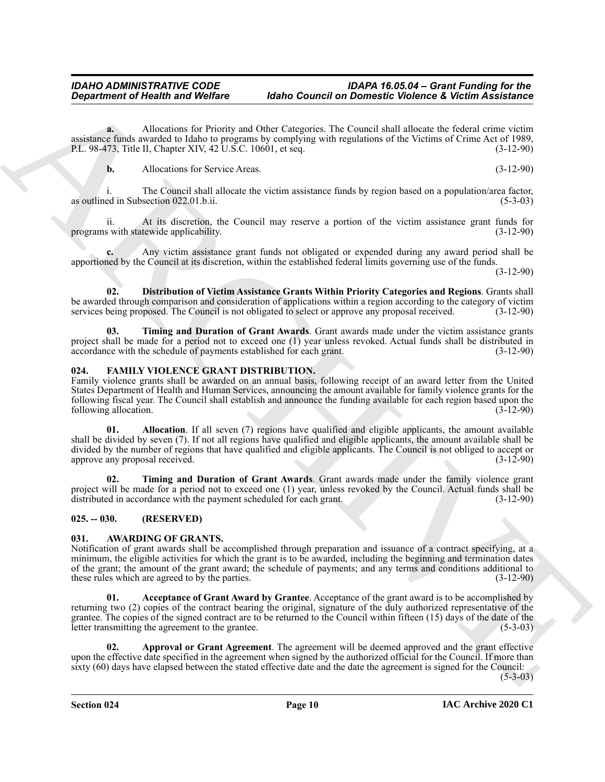**a.** Allocations for Priority and Other Categories. The Council shall allocate the federal crime victim assistance funds awarded to Idaho to programs by complying with regulations of the Victims of Crime Act of 1989,<br>P.L. 98-473. Title II. Chapter XIV. 42 U.S.C. 10601. et seq. (3-12-90) P.L. 98-473, Title II, Chapter XIV, 42 U.S.C. 10601, et seq.

**b.** Allocations for Service Areas. (3-12-90)

i. The Council shall allocate the victim assistance funds by region based on a population/area factor, as outlined in Subsection 022.01.b.ii. (5-3-03)

ii. At its discretion, the Council may reserve a portion of the victim assistance grant funds for programs with statewide applicability. (3-12-90)

**c.** Any victim assistance grant funds not obligated or expended during any award period shall be apportioned by the Council at its discretion, within the established federal limits governing use of the funds.

(3-12-90)

<span id="page-9-9"></span>**02. Distribution of Victim Assistance Grants Within Priority Categories and Regions**. Grants shall be awarded through comparison and consideration of applications within a region according to the category of victim services being proposed. The Council is not obligated to select or approve any proposal received. (3-12-90)

<span id="page-9-10"></span>**03. Timing and Duration of Grant Awards**. Grant awards made under the victim assistance grants project shall be made for a period not to exceed one (1) year unless revoked. Actual funds shall be distributed in accordance with the schedule of payments established for each grant. (3-12-90)

#### <span id="page-9-6"></span><span id="page-9-0"></span>**024. FAMILY VIOLENCE GRANT DISTRIBUTION.**

<span id="page-9-7"></span>Family violence grants shall be awarded on an annual basis, following receipt of an award letter from the United States Department of Health and Human Services, announcing the amount available for family violence grants for the following fiscal year. The Council shall establish and announce the funding available for each region based upon the following allocation.

*Department of Nearly waste Wolfrey*<br> **Archives and Oscietizers and Oscietizers and Research Theoretizers are not beyond able that the set of the set of the set of the set of the set of the set of the set of the set of 01. Allocation**. If all seven (7) regions have qualified and eligible applicants, the amount available shall be divided by seven (7). If not all regions have qualified and eligible applicants, the amount available shall be divided by the number of regions that have qualified and eligible applicants. The Council is not obliged to accept or approve any proposal received. (3-12-90) approve any proposal received.

<span id="page-9-8"></span>**02. Timing and Duration of Grant Awards**. Grant awards made under the family violence grant project will be made for a period not to exceed one (1) year, unless revoked by the Council. Actual funds shall be distributed in accordance with the payment scheduled for each grant. (3-12-90)

#### <span id="page-9-1"></span>**025. -- 030. (RESERVED)**

#### <span id="page-9-3"></span><span id="page-9-2"></span>**031. AWARDING OF GRANTS.**

Notification of grant awards shall be accomplished through preparation and issuance of a contract specifying, at a minimum, the eligible activities for which the grant is to be awarded, including the beginning and termination dates of the grant; the amount of the grant award; the schedule of payments; and any terms and conditions additional to these rules which are agreed to by the parties. (3-12-90)

<span id="page-9-4"></span>**01. Acceptance of Grant Award by Grantee**. Acceptance of the grant award is to be accomplished by returning two (2) copies of the contract bearing the original, signature of the duly authorized representative of the grantee. The copies of the signed contract are to be returned to the Council within fifteen (15) days of the date of the letter transmitting the agreement to the grantee. (5-3-03)

<span id="page-9-5"></span>**02. Approval or Grant Agreement**. The agreement will be deemed approved and the grant effective upon the effective date specified in the agreement when signed by the authorized official for the Council. If more than sixty (60) days have elapsed between the stated effective date and the date the agreement is signed for the Council:

 $(5-3-03)$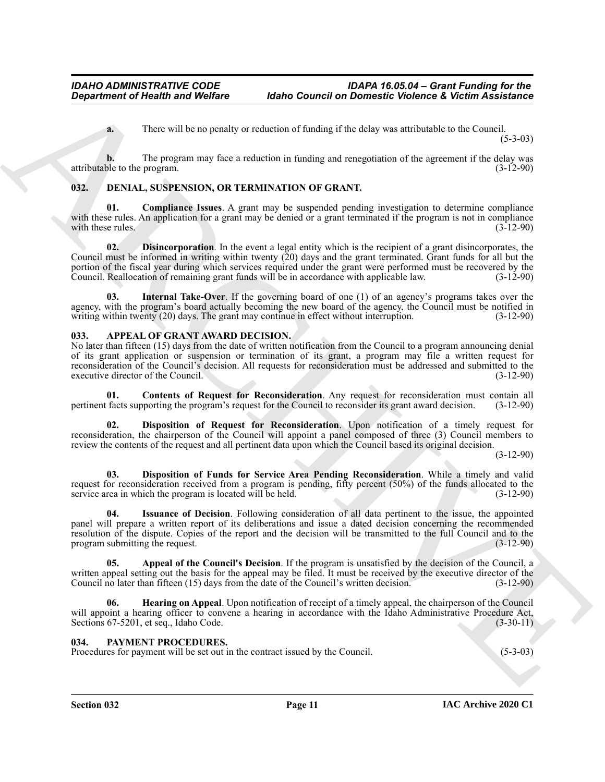**a.** There will be no penalty or reduction of funding if the delay was attributable to the Council.  $(5-3-03)$ 

**b.** The program may face a reduction in funding and renegotiation of the agreement if the delay was attributable to the program. (3-12-90)

#### <span id="page-10-10"></span><span id="page-10-0"></span>**032. DENIAL, SUSPENSION, OR TERMINATION OF GRANT.**

<span id="page-10-12"></span><span id="page-10-11"></span>**Compliance Issues**. A grant may be suspended pending investigation to determine compliance with these rules. An application for a grant may be denied or a grant terminated if the program is not in compliance with these rules.  $(3-12-90)$ 

*Great from the Gluenty State Caused for Caused for Caused for Caused for Caused For Caused For Caused For Caused For Caused For Caused For Caused For Caused For Caused For Caused For Caused For Caused For Caused For Cau* **02. Disincorporation**. In the event a legal entity which is the recipient of a grant disincorporates, the Council must be informed in writing within twenty (20) days and the grant terminated. Grant funds for all but the portion of the fiscal year during which services required under the grant were performed must be recovered by the Council. Reallocation of remaining grant funds will be in accordance with applicable law. (3-12-90)

<span id="page-10-13"></span>**03. Internal Take-Over**. If the governing board of one (1) of an agency's programs takes over the agency, with the program's board actually becoming the new board of the agency, the Council must be notified in writing within twenty (20) days. The grant may continue in effect without interruption.  $(3-12-90)$ 

#### <span id="page-10-3"></span><span id="page-10-1"></span>**033. APPEAL OF GRANT AWARD DECISION.**

No later than fifteen (15) days from the date of written notification from the Council to a program announcing denial of its grant application or suspension or termination of its grant, a program may file a written request for reconsideration of the Council's decision. All requests for reconsideration must be addressed and submitted to the executive director of the Council. (3-12-90)

<span id="page-10-5"></span>**01. Contents of Request for Reconsideration**. Any request for reconsideration must contain all pertinent facts supporting the program's request for the Council to reconsider its grant award decision. (3-12-90)

<span id="page-10-7"></span>**02. Disposition of Request for Reconsideration**. Upon notification of a timely request for reconsideration, the chairperson of the Council will appoint a panel composed of three (3) Council members to review the contents of the request and all pertinent data upon which the Council based its original decision.

(3-12-90)

<span id="page-10-6"></span>**03. Disposition of Funds for Service Area Pending Reconsideration**. While a timely and valid request for reconsideration received from a program is pending, fifty percent (50%) of the funds allocated to the service area in which the program is located will be held. (3-12-90)

<span id="page-10-9"></span>**04. Issuance of Decision**. Following consideration of all data pertinent to the issue, the appointed panel will prepare a written report of its deliberations and issue a dated decision concerning the recommended resolution of the dispute. Copies of the report and the decision will be transmitted to the full Council and to the program submitting the request. (3-12-90)

<span id="page-10-4"></span>**05. Appeal of the Council's Decision**. If the program is unsatisfied by the decision of the Council, a written appeal setting out the basis for the appeal may be filed. It must be received by the executive director of the Council no later than fifteen (15) days from the date of the Council's written decision. (3-12-90)

<span id="page-10-8"></span>**06. Hearing on Appeal**. Upon notification of receipt of a timely appeal, the chairperson of the Council will appoint a hearing officer to convene a hearing in accordance with the Idaho Administrative Procedure Act, Sections 67-5201, et seq., Idaho Code. (3-30-11)

#### <span id="page-10-14"></span><span id="page-10-2"></span>**034. PAYMENT PROCEDURES.**

Procedures for payment will be set out in the contract issued by the Council. (5-3-03)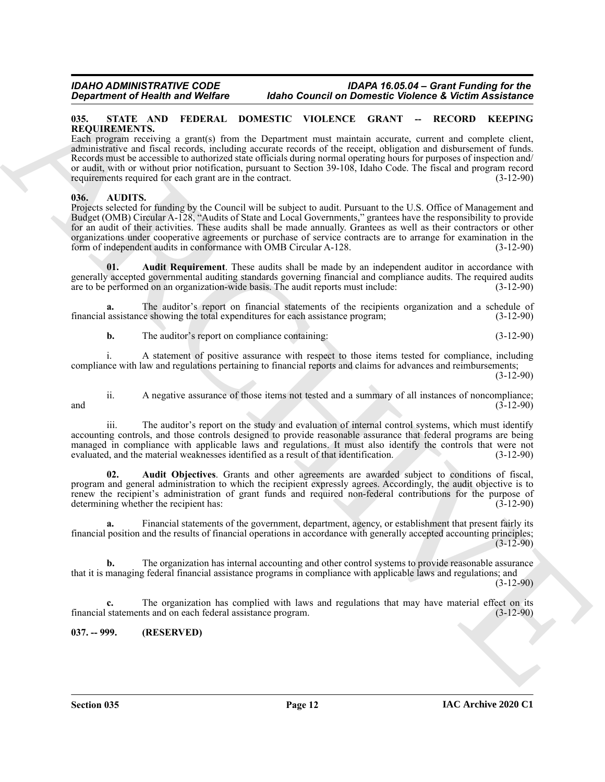#### <span id="page-11-6"></span><span id="page-11-0"></span>**035. STATE AND FEDERAL DOMESTIC VIOLENCE GRANT -- RECORD KEEPING REQUIREMENTS.**

Each program receiving a grant(s) from the Department must maintain accurate, current and complete client, administrative and fiscal records, including accurate records of the receipt, obligation and disbursement of funds. Records must be accessible to authorized state officials during normal operating hours for purposes of inspection and/ or audit, with or without prior notification, pursuant to Section 39-108, Idaho Code. The fiscal and program record requirements required for each grant are in the contract.

#### <span id="page-11-3"></span><span id="page-11-1"></span>**036. AUDITS.**

**Experimental of North Action 1646 Case of Downer Control Control Control Control Control Control Control Control Control Control Control Control Control Control Control Control Control Control Control Control Control Con** Projects selected for funding by the Council will be subject to audit. Pursuant to the U.S. Office of Management and Budget (OMB) Circular A-128, "Audits of State and Local Governments," grantees have the responsibility to provide for an audit of their activities. These audits shall be made annually. Grantees as well as their contractors or other organizations under cooperative agreements or purchase of service contracts are to arrange for examination in the form of independent audits in conformance with OMB Circular A-128. (3-12-90)

<span id="page-11-5"></span>**01. Audit Requirement**. These audits shall be made by an independent auditor in accordance with generally accepted governmental auditing standards governing financial and compliance audits. The required audits are to be performed on an organization-wide basis. The audit reports must include: (3-12-90)

**a.** The auditor's report on financial statements of the recipients organization and a schedule of financial assistance showing the total expenditures for each assistance program; (3-12-90)

**b.** The auditor's report on compliance containing:  $(3-12-90)$ 

i. A statement of positive assurance with respect to those items tested for compliance, including compliance with law and regulations pertaining to financial reports and claims for advances and reimbursements;

(3-12-90)

ii. A negative assurance of those items not tested and a summary of all instances of noncompliance; and  $(3-12-90)$ 

iii. The auditor's report on the study and evaluation of internal control systems, which must identify accounting controls, and those controls designed to provide reasonable assurance that federal programs are being managed in compliance with applicable laws and regulations. It must also identify the controls that were not evaluated, and the material weaknesses identified as a result of that identification. (3-12-90) evaluated, and the material weaknesses identified as a result of that identification.

<span id="page-11-4"></span>**02. Audit Objectives**. Grants and other agreements are awarded subject to conditions of fiscal, program and general administration to which the recipient expressly agrees. Accordingly, the audit objective is to renew the recipient's administration of grant funds and required non-federal contributions for the purpose of determining whether the recipient has: (3-12-90) determining whether the recipient has:

**a.** Financial statements of the government, department, agency, or establishment that present fairly its financial position and the results of financial operations in accordance with generally accepted accounting principles;  $(3-12-90)$ 

**b.** The organization has internal accounting and other control systems to provide reasonable assurance that it is managing federal financial assistance programs in compliance with applicable laws and regulations; and

(3-12-90)

**c.** The organization has complied with laws and regulations that may have material effect on its financial statements and on each federal assistance program. (3-12-90)

#### <span id="page-11-2"></span>**037. -- 999. (RESERVED)**